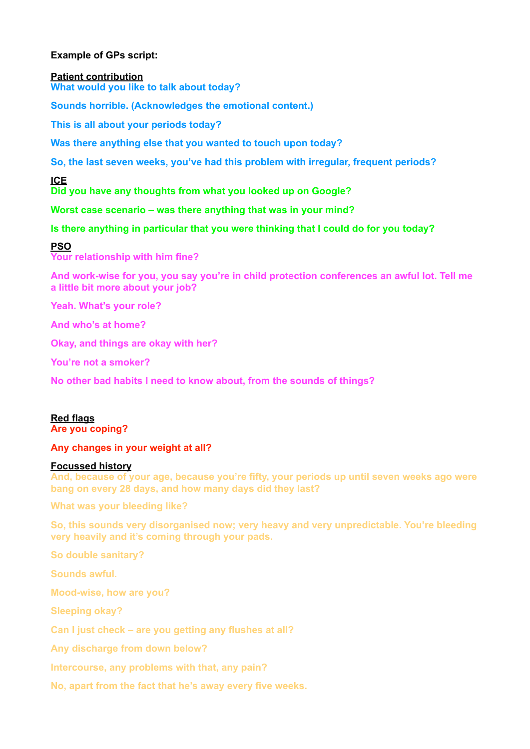# **Example of GPs script:**

### **Patient contribution**

**What would you like to talk about today?** 

**Sounds horrible. (Acknowledges the emotional content.)**

**This is all about your periods today?** 

**Was there anything else that you wanted to touch upon today?** 

**So, the last seven weeks, you've had this problem with irregular, frequent periods?** 

**ICE** 

**Did you have any thoughts from what you looked up on Google?** 

**Worst case scenario – was there anything that was in your mind?** 

# **Is there anything in particular that you were thinking that I could do for you today?**

# **PSO**

**Your relationship with him fine?** 

**And work-wise for you, you say you're in child protection conferences an awful lot. Tell me a little bit more about your job?** 

**Yeah. What's your role?** 

**And who's at home?** 

**Okay, and things are okay with her?** 

**You're not a smoker?** 

**No other bad habits I need to know about, from the sounds of things?** 

# **Red flags**

**Are you coping?** 

# **Any changes in your weight at all?**

# **Focussed history**

**And, because of your age, because you're fifty, your periods up until seven weeks ago were bang on every 28 days, and how many days did they last?** 

**What was your bleeding like?** 

**So, this sounds very disorganised now; very heavy and very unpredictable. You're bleeding very heavily and it's coming through your pads.** 

**So double sanitary?** 

**Sounds awful.** 

**Mood-wise, how are you?** 

**Sleeping okay?** 

**Can I just check – are you getting any flushes at all?** 

**Any discharge from down below?** 

**Intercourse, any problems with that, any pain?** 

**No, apart from the fact that he's away every five weeks.**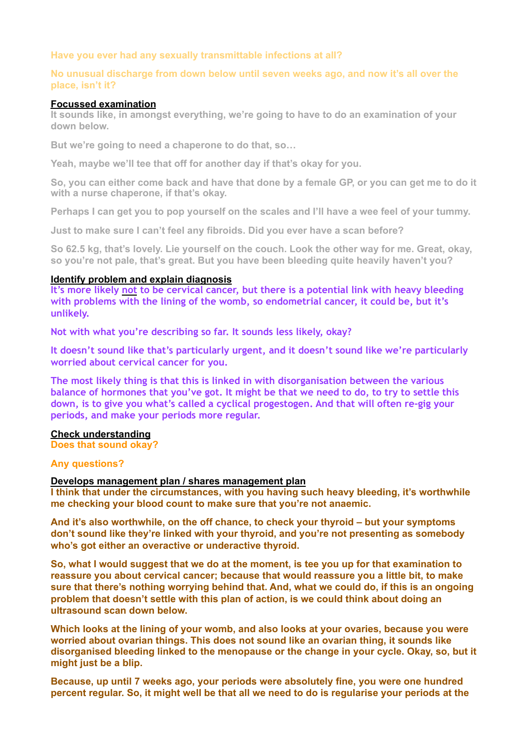## **Have you ever had any sexually transmittable infections at all?**

## **No unusual discharge from down below until seven weeks ago, and now it's all over the place, isn't it?**

#### **Focussed examination**

**It sounds like, in amongst everything, we're going to have to do an examination of your down below.** 

**But we're going to need a chaperone to do that, so…** 

**Yeah, maybe we'll tee that off for another day if that's okay for you.** 

**So, you can either come back and have that done by a female GP, or you can get me to do it with a nurse chaperone, if that's okay.** 

**Perhaps I can get you to pop yourself on the scales and I'll have a wee feel of your tummy.** 

**Just to make sure I can't feel any fibroids. Did you ever have a scan before?** 

**So 62.5 kg, that's lovely. Lie yourself on the couch. Look the other way for me. Great, okay, so you're not pale, that's great. But you have been bleeding quite heavily haven't you?** 

#### **Identify problem and explain diagnosis**

**It's more likely not to be cervical cancer, but there is a potential link with heavy bleeding with problems with the lining of the womb, so endometrial cancer, it could be, but it's unlikely.** 

**Not with what you're describing so far. It sounds less likely, okay?** 

**It doesn't sound like that's particularly urgent, and it doesn't sound like we're particularly worried about cervical cancer for you.** 

**The most likely thing is that this is linked in with disorganisation between the various balance of hormones that you've got. It might be that we need to do, to try to settle this down, is to give you what's called a cyclical progestogen. And that will often re-gig your periods, and make your periods more regular.**

### **Check understanding**

**Does that sound okay?** 

## **Any questions?**

#### **Develops management plan / shares management plan**

**I think that under the circumstances, with you having such heavy bleeding, it's worthwhile me checking your blood count to make sure that you're not anaemic.** 

**And it's also worthwhile, on the off chance, to check your thyroid – but your symptoms don't sound like they're linked with your thyroid, and you're not presenting as somebody who's got either an overactive or underactive thyroid.** 

**So, what I would suggest that we do at the moment, is tee you up for that examination to reassure you about cervical cancer; because that would reassure you a little bit, to make sure that there's nothing worrying behind that. And, what we could do, if this is an ongoing problem that doesn't settle with this plan of action, is we could think about doing an ultrasound scan down below.** 

**Which looks at the lining of your womb, and also looks at your ovaries, because you were worried about ovarian things. This does not sound like an ovarian thing, it sounds like disorganised bleeding linked to the menopause or the change in your cycle. Okay, so, but it might just be a blip.** 

**Because, up until 7 weeks ago, your periods were absolutely fine, you were one hundred percent regular. So, it might well be that all we need to do is regularise your periods at the**